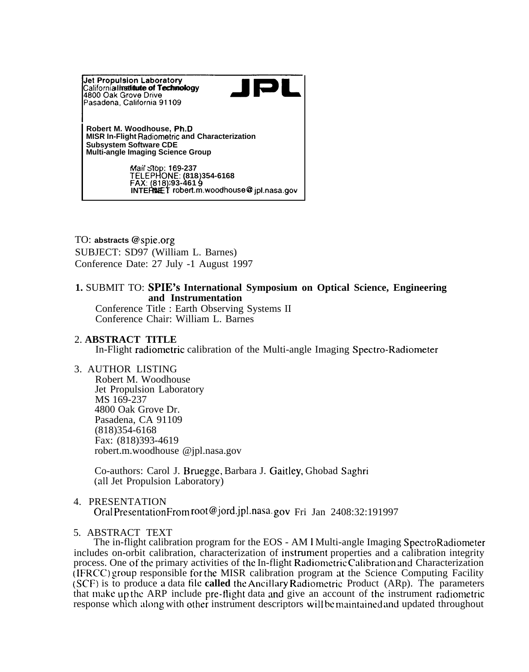

TO: **abstracts** @spie.org SUBJECT: SD97 (William L. Barnes) Conference Date: 27 July -1 August 1997

# **1.** SUBMIT TO: SPIE'S **International Symposium on Optical Science, Engineering and Instrumentation**

Conference Title : Earth Observing Systems II Conference Chair: William L. Barnes

## 2. **ABSTRACT TITLE**

In-Flight radiometric calibration of the Multi-angle Imaging Spectro-Radiometer

### 3. AUTHOR LISTING

Robert M. Woodhouse Jet Propulsion Laboratory MS 169-237 4800 Oak Grove Dr. Pasadena, CA 91109 (818)354-6168 Fax: (818)393-4619 robert.m.woodhouse @jpl.nasa.gov

Co-authors: Carol J. Bruegge, Barbara J. Gaitley, Ghobad Saghri (all Jet Propulsion Laboratory)

4. PRESENTATION

Oral PresentationFrom root@jord.jpl.nasa. gov Fri Jan 2408:32:191997

## 5. ABSTRACT TEXT

The in-flight calibration program for the EOS - AM 1 Multi-angle Imaging SpectroRadiometer includes on-orbit calibration, characterization of instrument properties and a calibration integrity process. One of the primary activities of the In-flight Radiometric Calibration and Characterization  $\overline{R}$  (IFRCC) group responsible for the MISR calibration program at the Science Computing Facility ~SCF) is to produce a data tile **called** the Ancillaw Radiomctric Product (ARp). The parameters that make up the ARP include pre-flight data and give an account of the instrument radiometric response which along with other instrument descriptors will be maintained and updated throughout